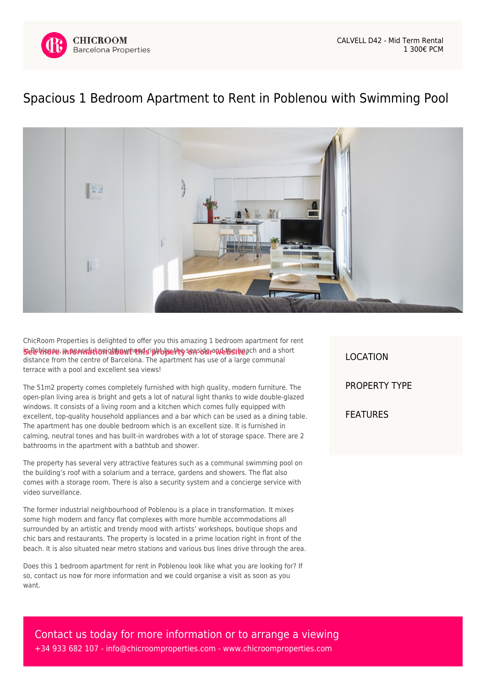

## [Spacious 1 Bedroom Apartment to Rent in Poblenou with Swimming Pool](https://www.chicroomproperties.com/en/property/942/spacious-1-bedroom-apartment-to-rent-in-poblenou-with-swimming-pool/)



ChicRoom Properties is delighted to offer you this amazing 1 bedroom apartment for rent **53dehkope, information about that i property seaside ambigite** ach and a short distance from the centre of Barcelona. The apartment has use of a large communal terrace with a pool and excellent sea views!

The 51m2 property comes completely furnished with high quality, modern furniture. The open-plan living area is bright and gets a lot of natural light thanks to wide double-glazed windows. It consists of a living room and a kitchen which comes fully equipped with excellent, top-quality household appliances and a bar which can be used as a dining table. The apartment has one double bedroom which is an excellent size. It is furnished in calming, neutral tones and has built-in wardrobes with a lot of storage space. There are 2 bathrooms in the apartment with a bathtub and shower.

The property has several very attractive features such as a communal swimming pool on the building's roof with a solarium and a terrace, gardens and showers. The flat also comes with a storage room. There is also a security system and a concierge service with video surveillance.

The former industrial neighbourhood of Poblenou is a place in transformation. It mixes some high modern and fancy flat complexes with more humble accommodations all surrounded by an artistic and trendy mood with artists' workshops, boutique shops and chic bars and restaurants. The property is located in a prime location right in front of the beach. It is also situated near metro stations and various bus lines drive through the area.

Does this 1 bedroom apartment for rent in Poblenou look like what you are looking for? If so, contact us now for more information and we could organise a visit as soon as you want.

LOCATION PROPERTY TYPE FEATURES

Contact us today for more information or to arrange a viewing +34 933 682 107 - [info@chicroomproperties.com](mailto:info@chicroomproperties.com) - [www.chicroomproperties.com](http://www.chicroomproperties.com)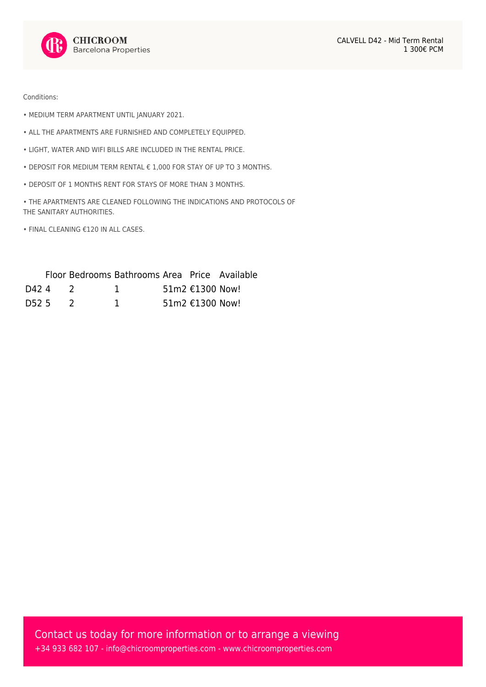

Conditions:

- MEDIUM TERM APARTMENT UNTIL JANUARY 2021.
- ALL THE APARTMENTS ARE FURNISHED AND COMPLETELY EQUIPPED.
- LIGHT, WATER AND WIFI BILLS ARE INCLUDED IN THE RENTAL PRICE.
- DEPOSIT FOR MEDIUM TERM RENTAL € 1,000 FOR STAY OF UP TO 3 MONTHS.
- DEPOSIT OF 1 MONTHS RENT FOR STAYS OF MORE THAN 3 MONTHS.
- THE APARTMENTS ARE CLEANED FOLLOWING THE INDICATIONS AND PROTOCOLS OF THE SANITARY AUTHORITIES.
- FINAL CLEANING €120 IN ALL CASES.

|       |  | Floor Bedrooms Bathrooms Area Price Available |                   |  |
|-------|--|-----------------------------------------------|-------------------|--|
| D42 4 |  |                                               | 51m2 €1300 Now!   |  |
| D52.5 |  |                                               | 51m2 $€1300$ Now! |  |